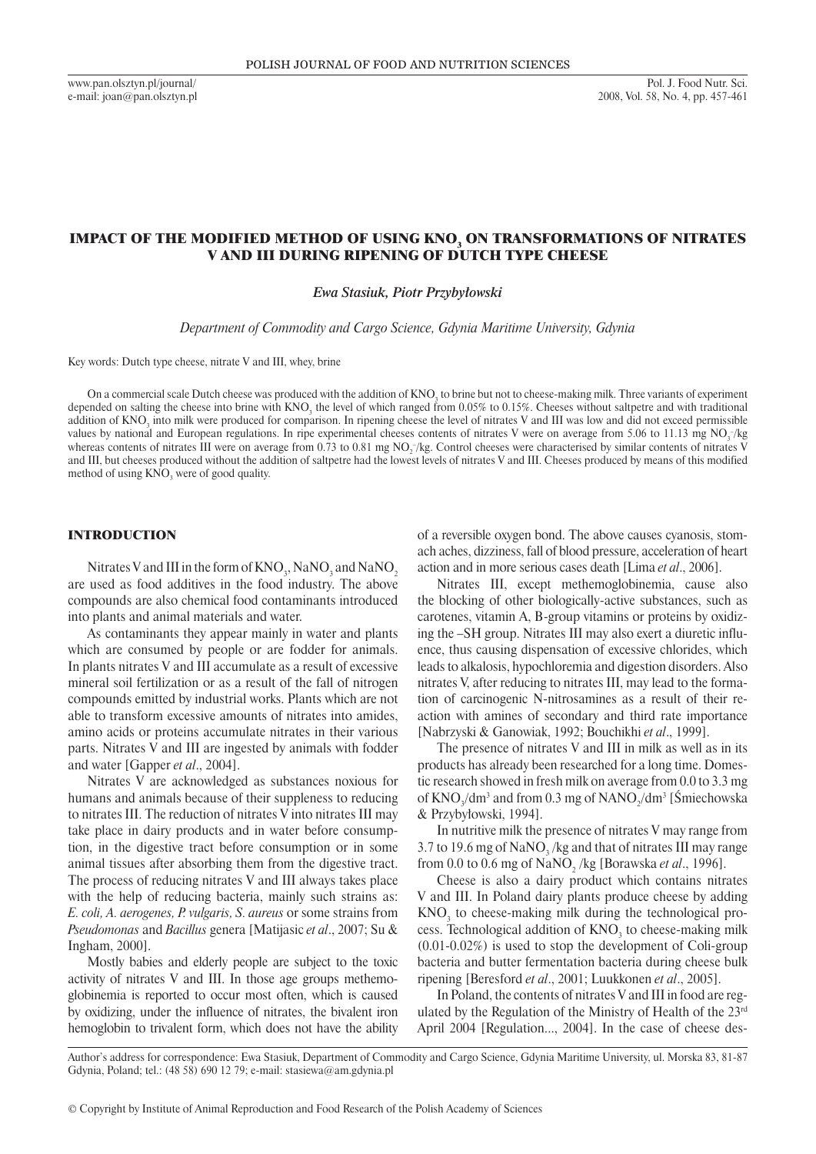www.pan.olsztyn.pl/journal/ e-mail: joan@pan.olsztyn.pl

# IMPACT OF THE MODIFIED METHOD OF USING KNO $_{\rm 3}$  ON TRANSFORMATIONS OF NITRATES V AND III DURING RIPENING OF DUTCH TYPE CHEESE

*Ewa Stasiuk, Piotr Przybyłowski*

*Department of Commodity and Cargo Science, Gdynia Maritime University, Gdynia*

Key words: Dutch type cheese, nitrate V and III, whey, brine

On a commercial scale Dutch cheese was produced with the addition of  $\mathsf{KNO}_3$  to brine but not to cheese-making milk. Three variants of experiment depended on salting the cheese into brine with KNO<sub>3</sub> the level of which ranged from 0.05% to 0.15%. Cheeses without saltpetre and with traditional addition of KNO<sub>3</sub> into milk were produced for comparison. In ripening cheese the level of nitrates V and III was low and did not exceed permissible values by national and European regulations. In ripe experimental cheeses contents of nitrates V were on average from 5.06 to 11.13 mg NO<sub>3</sub>/kg whereas contents of nitrates III were on average from 0.73 to 0.81 mg NO<sub>2</sub>/kg. Control cheeses were characterised by similar contents of nitrates V and III, but cheeses produced without the addition of saltpetre had the lowest levels of nitrates V and III. Cheeses produced by means of this modified method of using  $KNO_3$  were of good quality.

### INTRODUCTION

Nitrates V and III in the form of  $\rm{KNO}_3$ , NaNO<sub>3</sub> and NaNO<sub>2</sub> are used as food additives in the food industry. The above compounds are also chemical food contaminants introduced into plants and animal materials and water.

As contaminants they appear mainly in water and plants which are consumed by people or are fodder for animals. In plants nitrates V and III accumulate as a result of excessive mineral soil fertilization or as a result of the fall of nitrogen compounds emitted by industrial works. Plants which are not able to transform excessive amounts of nitrates into amides, amino acids or proteins accumulate nitrates in their various parts. Nitrates V and III are ingested by animals with fodder and water [Gapper *et al*., 2004].

Nitrates V are acknowledged as substances noxious for humans and animals because of their suppleness to reducing to nitrates III. The reduction of nitrates V into nitrates III may take place in dairy products and in water before consumption, in the digestive tract before consumption or in some animal tissues after absorbing them from the digestive tract. The process of reducing nitrates V and III always takes place with the help of reducing bacteria, mainly such strains as: *E. coli, A. aerogenes, P. vulgaris, S. aureus* or some strains from *Pseudomonas* and *Bacillus* genera [Matijasic *et al*., 2007; Su & Ingham, 2000].

Mostly babies and elderly people are subject to the toxic activity of nitrates V and III. In those age groups methemoglobinemia is reported to occur most often, which is caused by oxidizing, under the influence of nitrates, the bivalent iron hemoglobin to trivalent form, which does not have the ability of a reversible oxygen bond. The above causes cyanosis, stomach aches, dizziness, fall of blood pressure, acceleration of heart action and in more serious cases death [Lima *et al*., 2006].

Nitrates III, except methemoglobinemia, cause also the blocking of other biologically-active substances, such as carotenes, vitamin A, B-group vitamins or proteins by oxidizing the –SH group. Nitrates III may also exert a diuretic influence, thus causing dispensation of excessive chlorides, which leads to alkalosis, hypochloremia and digestion disorders. Also nitrates V, after reducing to nitrates III, may lead to the formation of carcinogenic N-nitrosamines as a result of their reaction with amines of secondary and third rate importance [Nabrzyski & Ganowiak, 1992; Bouchikhi *et al*., 1999].

The presence of nitrates V and III in milk as well as in its products has already been researched for a long time. Domestic research showed in fresh milk on average from 0.0 to 3.3 mg of  $KNO_3/dm^3$  and from 0.3 mg of  $NANO_2/dm^3$  [Smiechowska & Przybyłowski, 1994].

In nutritive milk the presence of nitrates V may range from 3.7 to 19.6 mg of  $\text{NaNO}_3$ /kg and that of nitrates III may range from 0.0 to 0.6 mg of NaNO<sub>2</sub> /kg [Borawska *et al.*, 1996].

Cheese is also a dairy product which contains nitrates V and III. In Poland dairy plants produce cheese by adding  $KNO<sub>3</sub>$  to cheese-making milk during the technological process. Technological addition of  $KNO<sub>3</sub>$  to cheese-making milk (0.01-0.02%) is used to stop the development of Coli-group bacteria and butter fermentation bacteria during cheese bulk ripening [Beresford *et al*., 2001; Luukkonen *et al*., 2005].

In Poland, the contents of nitrates V and III in food are regulated by the Regulation of the Ministry of Health of the 23rd April 2004 [Regulation..., 2004]. In the case of cheese des-

Author's address for correspondence: Ewa Stasiuk, Department of Commodity and Cargo Science, Gdynia Maritime University, ul. Morska 83, 81-87 Gdynia, Poland; tel.: (48 58) 690 12 79; e-mail: stasiewa@am.gdynia.pl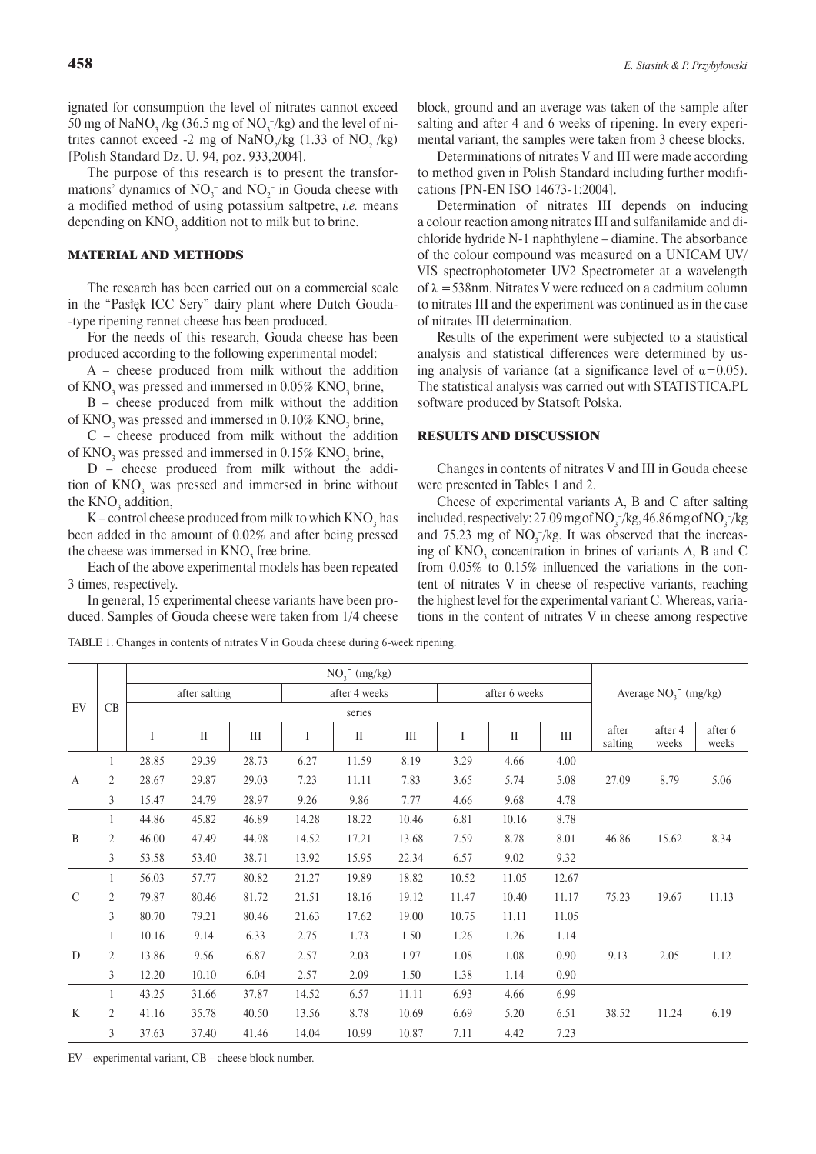ignated for consumption the level of nitrates cannot exceed 50 mg of  $\text{NaNO}_3$ /kg (36.5 mg of  $\text{NO}_3^-$ /kg) and the level of nitrites cannot exceed -2 mg of  $\text{NaNO}_2/\text{kg}$  (1.33 of  $\text{NO}_2^{-}/\text{kg}$ ) [Polish Standard Dz. U. 94, poz. 933,2004].

The purpose of this research is to present the transformations' dynamics of  $NO_3^-$  and  $NO_2^-$  in Gouda cheese with a modified method of using potassium saltpetre, *i.e.* means depending on  $\mathrm{KNO}_3^{}$  addition not to milk but to brine.

### MATERIAL AND METHODS

The research has been carried out on a commercial scale in the "Pasłęk ICC Sery" dairy plant where Dutch Gouda -type ripening rennet cheese has been produced.

For the needs of this research, Gouda cheese has been produced according to the following experimental model:

A – cheese produced from milk without the addition of  $\text{KNO}_3$  was pressed and immersed in 0.05%  $\text{KNO}_3$  brine,

B – cheese produced from milk without the addition of  $\rm{KNO}_{3}$  was pressed and immersed in 0.10%  $\rm{KNO}_{3}$  brine,

C – cheese produced from milk without the addition of  $\rm{KNO}_{3}$  was pressed and immersed in 0.15%  $\rm{KNO}_{3}$  brine,

D – cheese produced from milk without the addition of  $KNO<sub>3</sub>$  was pressed and immersed in brine without the  $\text{KNO}_3$  addition,

K – control cheese produced from milk to which  $\rm{KNO}_{3}$  has been added in the amount of 0.02% and after being pressed the cheese was immersed in  $KNO_3$  free brine.

Each of the above experimental models has been repeated 3 times, respectively.

In general, 15 experimental cheese variants have been produced. Samples of Gouda cheese were taken from 1/4 cheese block, ground and an average was taken of the sample after salting and after 4 and 6 weeks of ripening. In every experimental variant, the samples were taken from 3 cheese blocks.

Determinations of nitrates V and III were made according to method given in Polish Standard including further modifications [PN-EN ISO 14673-1:2004].

Determination of nitrates III depends on inducing a colour reaction among nitrates III and sulfanilamide and dichloride hydride N-1 naphthylene – diamine. The absorbance of the colour compound was measured on a UNICAM UV/ VIS spectrophotometer UV2 Spectrometer at a wavelength of  $\lambda = 538$ nm. Nitrates V were reduced on a cadmium column to nitrates III and the experiment was continued as in the case of nitrates III determination.

Results of the experiment were subjected to a statistical analysis and statistical differences were determined by using analysis of variance (at a significance level of  $\alpha$ =0.05). The statistical analysis was carried out with STATISTICA.PL software produced by Statsoft Polska.

### RESULTS AND DISCUSSION

Changes in contents of nitrates V and III in Gouda cheese were presented in Tables 1 and 2.

Cheese of experimental variants A, B and C after salting included, respectively: 27.09 mg of  $NO_3^-/kg$ , 46.86 mg of  $NO_3^-/kg$ and  $75.23$  mg of  $NO<sub>3</sub><sup>-</sup>/kg$ . It was observed that the increasing of  $KNO<sub>3</sub>$  concentration in brines of variants A, B and C from 0.05% to 0.15% influenced the variations in the content of nitrates V in cheese of respective variants, reaching the highest level for the experimental variant C. Whereas, variations in the content of nitrates V in cheese among respective

Table 1. Changes in contents of nitrates V in Gouda cheese during 6-week ripening.

| EV            | CB | $NO3$ (mg/kg) |              |       |               |              |                    |               |              |       |                          |                  |                  |  |
|---------------|----|---------------|--------------|-------|---------------|--------------|--------------------|---------------|--------------|-------|--------------------------|------------------|------------------|--|
|               |    | after salting |              |       | after 4 weeks |              |                    | after 6 weeks |              |       | Average $NO_1^-$ (mg/kg) |                  |                  |  |
|               |    | series        |              |       |               |              |                    |               |              |       |                          |                  |                  |  |
|               |    | I             | $\mathbf{I}$ | Ш     | Ι             | $\mathbf{I}$ | $\mathop{\rm III}$ | I             | $\mathbf{I}$ | III   | after<br>salting         | after 4<br>weeks | after 6<br>weeks |  |
| A             | 1  | 28.85         | 29.39        | 28.73 | 6.27          | 11.59        | 8.19               | 3.29          | 4.66         | 4.00  |                          |                  |                  |  |
|               | 2  | 28.67         | 29.87        | 29.03 | 7.23          | 11.11        | 7.83               | 3.65          | 5.74         | 5.08  | 27.09                    | 8.79             | 5.06             |  |
|               | 3  | 15.47         | 24.79        | 28.97 | 9.26          | 9.86         | 7.77               | 4.66          | 9.68         | 4.78  |                          |                  |                  |  |
| B             | 1  | 44.86         | 45.82        | 46.89 | 14.28         | 18.22        | 10.46              | 6.81          | 10.16        | 8.78  |                          |                  |                  |  |
|               | 2  | 46.00         | 47.49        | 44.98 | 14.52         | 17.21        | 13.68              | 7.59          | 8.78         | 8.01  | 46.86                    | 15.62            | 8.34             |  |
|               | 3  | 53.58         | 53.40        | 38.71 | 13.92         | 15.95        | 22.34              | 6.57          | 9.02         | 9.32  |                          |                  |                  |  |
|               | 1  | 56.03         | 57.77        | 80.82 | 21.27         | 19.89        | 18.82              | 10.52         | 11.05        | 12.67 |                          |                  |                  |  |
| $\mathcal{C}$ | 2  | 79.87         | 80.46        | 81.72 | 21.51         | 18.16        | 19.12              | 11.47         | 10.40        | 11.17 | 75.23                    | 19.67            | 11.13            |  |
|               | 3  | 80.70         | 79.21        | 80.46 | 21.63         | 17.62        | 19.00              | 10.75         | 11.11        | 11.05 |                          |                  |                  |  |
| D             | 1  | 10.16         | 9.14         | 6.33  | 2.75          | 1.73         | 1.50               | 1.26          | 1.26         | 1.14  |                          |                  |                  |  |
|               | 2  | 13.86         | 9.56         | 6.87  | 2.57          | 2.03         | 1.97               | 1.08          | 1.08         | 0.90  | 9.13                     | 2.05             | 1.12             |  |
|               | 3  | 12.20         | 10.10        | 6.04  | 2.57          | 2.09         | 1.50               | 1.38          | 1.14         | 0.90  |                          |                  |                  |  |
| K             | 1  | 43.25         | 31.66        | 37.87 | 14.52         | 6.57         | 11.11              | 6.93          | 4.66         | 6.99  |                          |                  |                  |  |
|               | 2  | 41.16         | 35.78        | 40.50 | 13.56         | 8.78         | 10.69              | 6.69          | 5.20         | 6.51  | 38.52                    | 11.24            | 6.19             |  |
|               | 3  | 37.63         | 37.40        | 41.46 | 14.04         | 10.99        | 10.87              | 7.11          | 4.42         | 7.23  |                          |                  |                  |  |

EV – experimental variant, CB – cheese block number.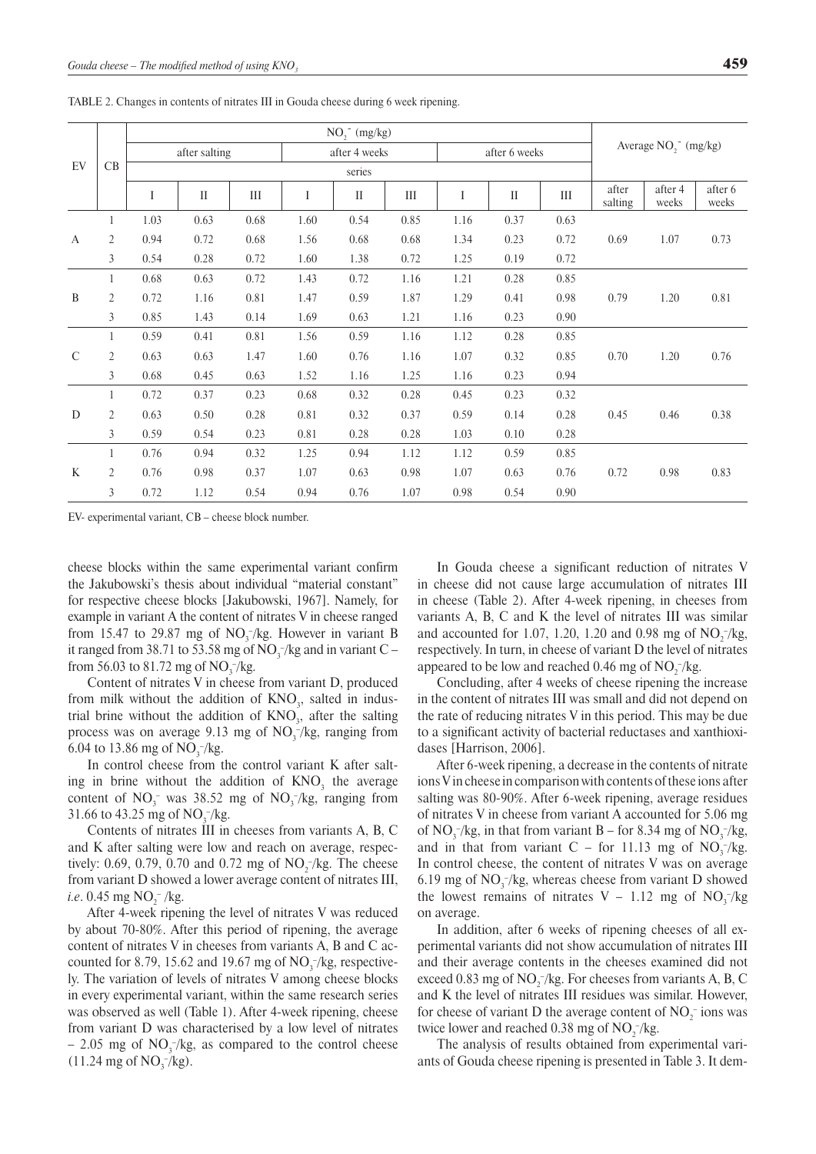| EV            | CB             | $NO2$ (mg/kg) |          |      |               |                            |                    |               |              |      |                                              |                  |                  |  |
|---------------|----------------|---------------|----------|------|---------------|----------------------------|--------------------|---------------|--------------|------|----------------------------------------------|------------------|------------------|--|
|               |                | after salting |          |      | after 4 weeks |                            |                    | after 6 weeks |              |      | Average NO <sub>2</sub> <sup>-</sup> (mg/kg) |                  |                  |  |
|               |                | series        |          |      |               |                            |                    |               |              |      |                                              |                  |                  |  |
|               |                | I             | $\rm II$ | III  | I             | $\mathop{\rm II}\nolimits$ | $\mathop{\rm III}$ | I             | $\mathbf{I}$ | III  | after<br>salting                             | after 4<br>weeks | after 6<br>weeks |  |
| A             | 1              | 1.03          | 0.63     | 0.68 | 1.60          | 0.54                       | 0.85               | 1.16          | 0.37         | 0.63 |                                              |                  |                  |  |
|               | 2              | 0.94          | 0.72     | 0.68 | 1.56          | 0.68                       | 0.68               | 1.34          | 0.23         | 0.72 | 0.69                                         | 1.07             | 0.73             |  |
|               | $\mathfrak{Z}$ | 0.54          | 0.28     | 0.72 | 1.60          | 1.38                       | 0.72               | 1.25          | 0.19         | 0.72 |                                              |                  |                  |  |
| B             |                | 0.68          | 0.63     | 0.72 | 1.43          | 0.72                       | 1.16               | 1.21          | 0.28         | 0.85 |                                              |                  |                  |  |
|               | 2              | 0.72          | 1.16     | 0.81 | 1.47          | 0.59                       | 1.87               | 1.29          | 0.41         | 0.98 | 0.79                                         | 1.20             | 0.81             |  |
|               | 3              | 0.85          | 1.43     | 0.14 | 1.69          | 0.63                       | 1.21               | 1.16          | 0.23         | 0.90 |                                              |                  |                  |  |
|               | 1              | 0.59          | 0.41     | 0.81 | 1.56          | 0.59                       | 1.16               | 1.12          | 0.28         | 0.85 |                                              |                  |                  |  |
| $\mathcal{C}$ | 2              | 0.63          | 0.63     | 1.47 | 1.60          | 0.76                       | 1.16               | 1.07          | 0.32         | 0.85 | 0.70                                         | 1.20             | 0.76             |  |
|               | 3              | 0.68          | 0.45     | 0.63 | 1.52          | 1.16                       | 1.25               | 1.16          | 0.23         | 0.94 |                                              |                  |                  |  |
| D             | 1              | 0.72          | 0.37     | 0.23 | 0.68          | 0.32                       | 0.28               | 0.45          | 0.23         | 0.32 |                                              |                  |                  |  |
|               | 2              | 0.63          | 0.50     | 0.28 | 0.81          | 0.32                       | 0.37               | 0.59          | 0.14         | 0.28 | 0.45                                         | 0.46             | 0.38             |  |
|               | 3              | 0.59          | 0.54     | 0.23 | 0.81          | 0.28                       | 0.28               | 1.03          | 0.10         | 0.28 |                                              |                  |                  |  |
| $\mathbf{K}$  |                | 0.76          | 0.94     | 0.32 | 1.25          | 0.94                       | 1.12               | 1.12          | 0.59         | 0.85 |                                              |                  |                  |  |
|               | $\overline{2}$ | 0.76          | 0.98     | 0.37 | 1.07          | 0.63                       | 0.98               | 1.07          | 0.63         | 0.76 | 0.72                                         | 0.98             | 0.83             |  |
|               | 3              | 0.72          | 1.12     | 0.54 | 0.94          | 0.76                       | 1.07               | 0.98          | 0.54         | 0.90 |                                              |                  |                  |  |

Table 2. Changes in contents of nitrates III in Gouda cheese during 6 week ripening.

EV- experimental variant, CB – cheese block number.

cheese blocks within the same experimental variant confirm the Jakubowski's thesis about individual "material constant" for respective cheese blocks [Jakubowski, 1967]. Namely, for example in variant A the content of nitrates V in cheese ranged from 15.47 to 29.87 mg of  $NO_3^-/kg$ . However in variant B it ranged from 38.71 to 53.58 mg of  $NO_3^-/kg$  and in variant  $C$ from 56.03 to 81.72 mg of  $NO_3^-/kg$ .

Content of nitrates V in cheese from variant D, produced from milk without the addition of  $KNO<sub>3</sub>$ , salted in industrial brine without the addition of  $KNO<sub>3</sub>$ , after the salting process was on average 9.13 mg of  $NO<sub>3</sub><sup>-</sup>/kg$ , ranging from 6.04 to 13.86 mg of  $NO_3^-/kg$ .

In control cheese from the control variant K after salting in brine without the addition of  $KNO<sub>3</sub>$  the average content of  $NO_3^-$  was 38.52 mg of  $NO_3^-$ /kg, ranging from 31.66 to 43.25 mg of  $NO_3^-/kg$ .

Contents of nitrates III in cheeses from variants A, B, C and K after salting were low and reach on average, respectively: 0.69, 0.79, 0.70 and 0.72 mg of  $NO_2^-/kg$ . The cheese from variant D showed a lower average content of nitrates III, *i.e.* 0.45 mg NO<sub>2</sub><sup>-</sup>/kg.

After 4-week ripening the level of nitrates V was reduced by about 70-80%. After this period of ripening, the average content of nitrates V in cheeses from variants A, B and C accounted for 8.79, 15.62 and 19.67 mg of  $NO_3^-/kg$ , respectively. The variation of levels of nitrates V among cheese blocks in every experimental variant, within the same research series was observed as well (Table 1). After 4-week ripening, cheese from variant D was characterised by a low level of nitrates  $-$  2.05 mg of  $NO_3^-/kg$ , as compared to the control cheese  $(11.24 \text{ mg of NO}_3^{-1}/\text{kg}).$ 

In Gouda cheese a significant reduction of nitrates V in cheese did not cause large accumulation of nitrates III in cheese (Table 2). After 4-week ripening, in cheeses from variants A, B, C and K the level of nitrates III was similar and accounted for 1.07, 1.20, 1.20 and 0.98 mg of  $NO_2^-/kg$ , respectively. In turn, in cheese of variant D the level of nitrates appeared to be low and reached 0.46 mg of  $NO_2^-/kg$ .

Concluding, after 4 weeks of cheese ripening the increase in the content of nitrates III was small and did not depend on the rate of reducing nitrates V in this period. This may be due to a significant activity of bacterial reductases and xanthioxidases [Harrison, 2006].

After 6-week ripening, a decrease in the contents of nitrate ions V in cheese in comparison with contents of these ions after salting was 80-90%. After 6-week ripening, average residues of nitrates V in cheese from variant A accounted for 5.06 mg of  $NO_3^-/kg$ , in that from variant B – for 8.34 mg of  $NO_3^-/kg$ , and in that from variant C – for 11.13 mg of  $NO_3^-/kg$ . In control cheese, the content of nitrates V was on average 6.19 mg of  $NO_3^-/kg$ , whereas cheese from variant D showed the lowest remains of nitrates  $V - 1.12$  mg of  $NO<sub>3</sub><sup>-</sup>/kg$ on average.

In addition, after 6 weeks of ripening cheeses of all experimental variants did not show accumulation of nitrates III and their average contents in the cheeses examined did not exceed 0.83 mg of  $NO_2^-/kg$ . For cheeses from variants A, B, C and K the level of nitrates III residues was similar. However, for cheese of variant D the average content of  $NO_2^-$  ions was twice lower and reached 0.38 mg of  $NO_2^-/kg$ .

The analysis of results obtained from experimental variants of Gouda cheese ripening is presented in Table 3. It dem-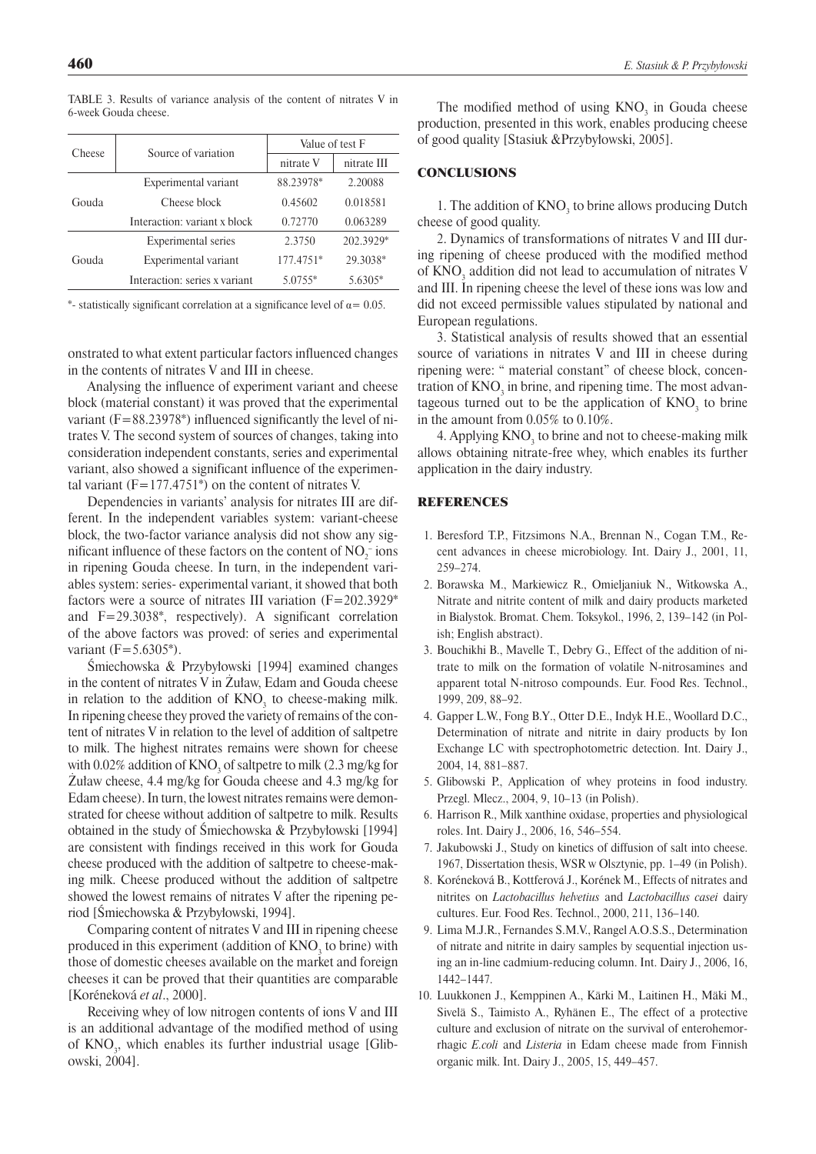| Cheese | Source of variation           | Value of test F |             |  |  |  |
|--------|-------------------------------|-----------------|-------------|--|--|--|
|        |                               | nitrate V       | nitrate III |  |  |  |
|        | Experimental variant          | 88.23978*       | 2.20088     |  |  |  |
| Gouda  | Cheese block                  | 0.45602         | 0.018581    |  |  |  |
|        | Interaction: variant x block  | 0.72770         | 0.063289    |  |  |  |
|        | <b>Experimental series</b>    | 2.3750          | 202.3929*   |  |  |  |
| Gouda  | Experimental variant          | 177.4751*       | 29.3038*    |  |  |  |
|        | Interaction: series x variant | 5.0755*         | 5.6305*     |  |  |  |

Table 3. Results of variance analysis of the content of nitrates V in 6-week Gouda cheese.

\*- statistically significant correlation at a significance level of  $\alpha$  = 0.05.

onstrated to what extent particular factors influenced changes in the contents of nitrates V and III in cheese.

Analysing the influence of experiment variant and cheese block (material constant) it was proved that the experimental variant  $(F=88.23978*)$  influenced significantly the level of nitrates V. The second system of sources of changes, taking into consideration independent constants, series and experimental variant, also showed a significant influence of the experimental variant  $(F=177.4751^*)$  on the content of nitrates V.

Dependencies in variants' analysis for nitrates III are different. In the independent variables system: variant-cheese block, the two-factor variance analysis did not show any sigmificant influence of these factors on the content of  $NO_2^-$  ions in ripening Gouda cheese. In turn, in the independent variables system: series- experimental variant, it showed that both factors were a source of nitrates III variation (F=202.3929\* and F=29.3038\*, respectively). A significant correlation of the above factors was proved: of series and experimental variant  $(F=5.6305^*)$ .

Śmiechowska & Przybyłowski [1994] examined changes in the content of nitrates V in Żuław, Edam and Gouda cheese in relation to the addition of  $KNO_3$  to cheese-making milk. In ripening cheese they proved the variety of remains of the content of nitrates V in relation to the level of addition of saltpetre to milk. The highest nitrates remains were shown for cheese with  $0.02\%$  addition of  $\text{KNO}_3$  of saltpetre to milk (2.3 mg/kg for Żuław cheese, 4.4 mg/kg for Gouda cheese and 4.3 mg/kg for Edam cheese). In turn, the lowest nitrates remains were demonstrated for cheese without addition of saltpetre to milk. Results obtained in the study of Śmiechowska & Przybyłowski [1994] are consistent with findings received in this work for Gouda cheese produced with the addition of saltpetre to cheese-making milk. Cheese produced without the addition of saltpetre showed the lowest remains of nitrates V after the ripening period [Śmiechowska & Przybyłowski, 1994].

Comparing content of nitrates V and III in ripening cheese produced in this experiment (addition of  $KNO<sub>3</sub>$  to brine) with those of domestic cheeses available on the market and foreign cheeses it can be proved that their quantities are comparable [Koréneková *et al*., 2000].

Receiving whey of low nitrogen contents of ions V and III is an additional advantage of the modified method of using of  $KNO_3$ , which enables its further industrial usage [Glibowski, 2004].

The modified method of using  $KNO<sub>3</sub>$  in Gouda cheese production, presented in this work, enables producing cheese of good quality [Stasiuk &Przybyłowski, 2005].

# **CONCLUSIONS**

1. The addition of  $KNO<sub>3</sub>$  to brine allows producing Dutch cheese of good quality.

2. Dynamics of transformations of nitrates V and III during ripening of cheese produced with the modified method of  $KNO_3$  addition did not lead to accumulation of nitrates V and III. In ripening cheese the level of these ions was low and did not exceed permissible values stipulated by national and European regulations.

3. Statistical analysis of results showed that an essential source of variations in nitrates V and III in cheese during ripening were: " material constant" of cheese block, concentration of  $KNO<sub>3</sub>$  in brine, and ripening time. The most advantageous turned out to be the application of  $KNO<sub>3</sub>$  to brine in the amount from 0.05% to 0.10%.

4. Applying  $KNO_3$  to brine and not to cheese-making milk allows obtaining nitrate-free whey, which enables its further application in the dairy industry.

### **REFERENCES**

- 1. Beresford T.P., Fitzsimons N.A., Brennan N., Cogan T.M., Recent advances in cheese microbiology. Int. Dairy J., 2001, 11, 259–274.
- 2. Borawska M., Markiewicz R., Omieljaniuk N., Witkowska A., Nitrate and nitrite content of milk and dairy products marketed in Bialystok. Bromat. Chem. Toksykol., 1996, 2, 139–142 (in Polish; English abstract).
- 3. Bouchikhi B., Mavelle T., Debry G., Effect of the addition of nitrate to milk on the formation of volatile N-nitrosamines and apparent total N-nitroso compounds. Eur. Food Res. Technol., 1999, 209, 88–92.
- 4. Gapper L.W., Fong B.Y., Otter D.E., Indyk H.E., Woollard D.C., Determination of nitrate and nitrite in dairy products by Ion Exchange LC with spectrophotometric detection. Int. Dairy J., 2004, 14, 881–887.
- 5. Glibowski P., Application of whey proteins in food industry. Przegl. Mlecz., 2004, 9, 10–13 (in Polish).
- 6. Harrison R., Milk xanthine oxidase, properties and physiological roles. Int. Dairy J., 2006, 16, 546–554.
- 7. Jakubowski J., Study on kinetics of diffusion of salt into cheese. 1967, Dissertation thesis, WSR w Olsztynie, pp. 1–49 (in Polish).
- 8. Koréneková B., Kottferová J., Korének M., Effects of nitrates and nitrites on *Lactobacillus helvetius* and *Lactobacillus casei* dairy cultures. Eur. Food Res. Technol., 2000, 211, 136–140.
- 9. Lima M.J.R., Fernandes S.M.V., Rangel A.O.S.S., Determination of nitrate and nitrite in dairy samples by sequential injection using an in-line cadmium-reducing column. Int. Dairy J., 2006, 16, 1442–1447.
- 10. Luukkonen J., Kemppinen A., Kärki M., Laitinen H., Mäki M., Sivelä S., Taimisto A., Ryhänen E., The effect of a protective culture and exclusion of nitrate on the survival of enterohemorrhagic *E.coli* and *Listeria* in Edam cheese made from Finnish organic milk. Int. Dairy J., 2005, 15, 449–457.